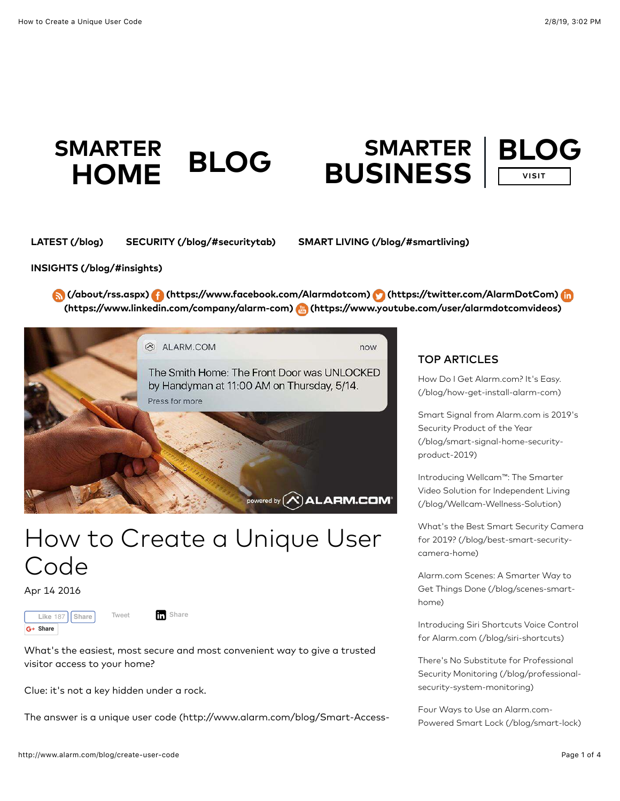BLOG

VISIT

## SMARTER MARTER BLOG SMARTER<br>HOME BLOG BUSINESS

#### [LATEST \(/blog\)](http://www.alarm.com/blog) [SECURITY \(/blog/#securitytab\)](http://www.alarm.com/blog/#securitytab) [SMART LIVING \(/blog/#smartliving\)](http://www.alarm.com/blog/#smartliving)

#### [INSIGHTS \(/blog/#insights\)](http://www.alarm.com/blog/#insights)

 [\(/about/rss.aspx](http://www.alarm.com/about/rss.aspx)[\)](https://www.linkedin.com/company/alarm-com) [\(https://www.facebook.com/Alarmdotcom](https://www.facebook.com/Alarmdotcom)[\)](https://www.linkedin.com/company/alarm-com) [\(https://twitter.com/AlarmDotCom\)](https://twitter.com/AlarmDotCom) (https://www.linkedin.com/company/alarm-com) [\(https://www.youtube.com/user/alarmdotcomvideos\)](https://www.youtube.com/user/alarmdotcomvideos)



# How to Create a Unique User Code

Apr 14 2016



What's the easiest, most secure and most convenient way to give a trusted visitor access to your home?

Clue: it's not a key hidden under a rock.

[The answer is a unique user code \(http://www.alarm.com/blog/Smart-Access-](http://www.alarm.com/blog/Smart-Access-Lose-Keys-Gain-Control)

### TOP ARTICLES

[How Do I Get Alarm.com? It's Easy.](http://www.alarm.com/blog/how-get-install-alarm-com) (/blog/how-get-install-alarm-com)

[Smart Signal from Alarm.com is 2019's](http://www.alarm.com/blog/smart-signal-home-security-product-2019) Security Product of the Year (/blog/smart-signal-home-securityproduct-2019)

Introducing Wellcam™: The Smarter [Video Solution for Independent Living](http://www.alarm.com/blog/Wellcam-Wellness-Solution) (/blog/Wellcam-Wellness-Solution)

[What's the Best Smart Security Camera](http://www.alarm.com/blog/best-smart-security-camera-home) for 2019? (/blog/best-smart-securitycamera-home)

Alarm.com Scenes: A Smarter Way to [Get Things Done \(/blog/scenes-smart](http://www.alarm.com/blog/scenes-smart-home)home)

[Introducing Siri Shortcuts Voice Control](http://www.alarm.com/blog/siri-shortcuts) for Alarm.com (/blog/siri-shortcuts)

There's No Substitute for Professional [Security Monitoring \(/blog/professional](http://www.alarm.com/blog/professional-security-system-monitoring)security-system-monitoring)

Four Ways to Use an Alarm.com-[Powered Smart Lock \(/blog/smart-lock\)](http://www.alarm.com/blog/smart-lock)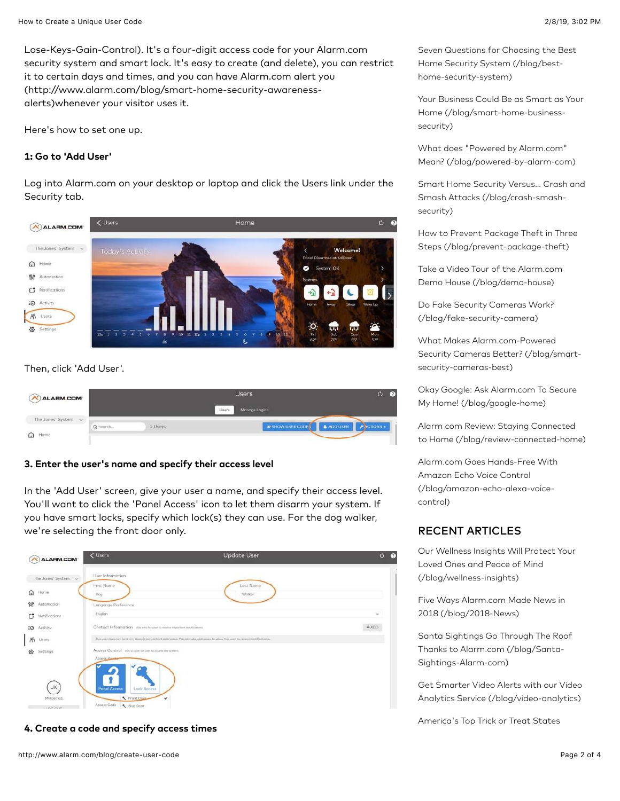[Lose-Keys-Gain-Control\). It's a four-digit access code for your Alarm.com](http://www.alarm.com/blog/Smart-Access-Lose-Keys-Gain-Control) security system and smart lock. It's easy to create (and delete), you can restrict [it to certain days and times, and you can have Alarm.com alert you](http://www.alarm.com/blog/smart-home-security-awareness-alerts)  (http://www.alarm.com/blog/smart-home-security-awarenessalerts)whenever your visitor uses it.

Here's how to set one up.

#### 1: Go to 'Add User'

Log into Alarm.com on your desktop or laptop and click the Users link under the Security tab.



Then, click 'Add User'.

| ALARM.COM         |          | <b>Users</b> |                                      |                       |
|-------------------|----------|--------------|--------------------------------------|-----------------------|
|                   |          |              | Manage Logins<br>Users               |                       |
| The Jones' System |          |              |                                      |                       |
| $\Omega$<br>Home  | Q Search | 2 Users      | <b>SHOW USER CODES</b><br>A ADD USER | $\rho$ ACTIONS $\sim$ |

#### 3. Enter the user's name and specify their access level

In the 'Add User' screen, give your user a name, and specify their access level. You'll want to click the 'Panel Access' icon to let them disarm your system. If you have smart locks, specify which lock(s) they can use. For the dog walker, we're selecting the front door only.



### 4. Create a code and specify access times

[Seven Questions for Choosing the Best](http://www.alarm.com/blog/best-home-security-system) Home Security System (/blog/besthome-security-system)

[Your Business Could Be as Smart as Your](http://www.alarm.com/blog/smart-home-business-security) Home (/blog/smart-home-businesssecurity)

What does "Powered by Alarm.com" [Mean? \(/blog/powered-by-alarm-com\)](http://www.alarm.com/blog/powered-by-alarm-com)

[Smart Home Security Versus… Crash and](http://www.alarm.com/blog/crash-smash-security) Smash Attacks (/blog/crash-smashsecurity)

[How to Prevent Package Theft in Three](http://www.alarm.com/blog/prevent-package-theft) Steps (/blog/prevent-package-theft)

[Take a Video Tour of the Alarm.com](http://www.alarm.com/blog/demo-house) Demo House (/blog/demo-house)

[Do Fake Security Cameras Work?](http://www.alarm.com/blog/fake-security-camera) (/blog/fake-security-camera)

What Makes Alarm.com-Powered [Security Cameras Better? \(/blog/smart](http://www.alarm.com/blog/smart-security-cameras-best)security-cameras-best)

[Okay Google: Ask Alarm.com To Secure](http://www.alarm.com/blog/google-home) My Home! (/blog/google-home)

Alarm com Review: Staying Connected [to Home \(/blog/review-connected-home\)](http://www.alarm.com/blog/review-connected-home)

Alarm.com Goes Hands-Free With Amazon Echo Voice Control [\(/blog/amazon-echo-alexa-voice](http://www.alarm.com/blog/amazon-echo-alexa-voice-control)control)

### RECENT ARTICLES

[Our Wellness Insights Will Protect Your](http://www.alarm.com/blog/wellness-insights) Loved Ones and Peace of Mind (/blog/wellness-insights)

[Five Ways Alarm.com Made News in](http://www.alarm.com/blog/2018-News) 2018 (/blog/2018-News)

[Santa Sightings Go Through The Roof](http://www.alarm.com/blog/Santa-Sightings-Alarm-com) Thanks to Alarm.com (/blog/Santa-Sightings-Alarm-com)

Get Smarter Video Alerts with our Video [Analytics Service \(/blog/video-analytics\)](http://www.alarm.com/blog/video-analytics)

[America's Top Trick or Treat States](http://www.alarm.com/blog/smart-home-halloween)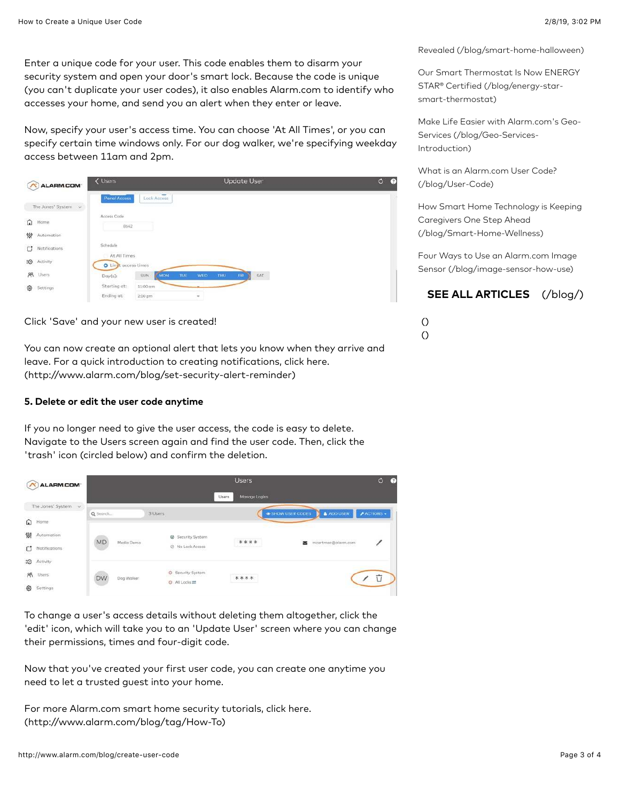Enter a unique code for your user. This code enables them to disarm your security system and open your door's smart lock. Because the code is unique (you can't duplicate your user codes), it also enables Alarm.com to identify who accesses your home, and send you an alert when they enter or leave.

Now, specify your user's access time. You can choose 'At All Times', or you can specify certain time windows only. For our dog walker, we're specifying weekday access between 11am and 2pm.

| ALARM.COM<br>$\boldsymbol{\wedge}$ | < Users                                       | <b>Update User</b>                             | $\bullet$<br>$\ddot{\circ}$ |
|------------------------------------|-----------------------------------------------|------------------------------------------------|-----------------------------|
|                                    | <b>Panel Access</b><br>Lock Access            |                                                | а                           |
| The Jones' System v                |                                               |                                                |                             |
| Home<br>۵                          | Access Code<br>8642                           |                                                |                             |
| 969<br>Automation                  |                                               |                                                |                             |
| Notifications<br>C                 | Schedule<br><b>CONTRACTOR</b><br>At All Times |                                                |                             |
| EO Activity                        | O Limit access times                          |                                                |                             |
| 88 Users                           | <b>MON</b><br>SUN:<br>Day(s):                 | <b>TUE</b><br><b>WED</b><br>THU.<br>FRI<br>SAT |                             |
| Settings<br>O)                     | Starting at:<br>11:00 am                      |                                                |                             |
|                                    | 2:00 pm<br>Ending at:                         | $\omega$                                       |                             |

Click 'Save' and your new user is created!

You can now create an optional alert that lets you know when they arrive and [leave. For a quick introduction to creating notifications, click here.](http://www.alarm.com/blog/set-security-alert-reminder)  (http://www.alarm.com/blog/set-security-alert-reminder)

#### 5. Delete or edit the user code anytime

If you no longer need to give the user access, the code is easy to delete. Navigate to the Users screen again and find the user code. Then, click the 'trash' icon (circled below) and confirm the deletion.

| ALARM.COM           |                         |                            | <b>Users</b>           |                                                                            | $\mathcal{C}$<br>$\bullet$ |
|---------------------|-------------------------|----------------------------|------------------------|----------------------------------------------------------------------------|----------------------------|
|                     |                         |                            | Manage Logins<br>Users |                                                                            |                            |
| The Jones' System v | Q Search                | 3 Users                    |                        | A ADD USER<br>SHOW USER CODES                                              | $P$ ACTIONS -              |
| $\Omega$ Home       |                         |                            |                        | the company of the company of the company of the company of the company of |                            |
| 969<br>Automation   | Media Demo<br>MD        | Security System<br>$\odot$ | ****                   | mzartman@alarm.com                                                         |                            |
| C<br>Notifications  |                         | Wo Lock Access             |                        | ▩                                                                          | 1                          |
| EQ Activity         |                         |                            |                        |                                                                            |                            |
| <b>PR</b> Users     | <b>DW</b><br>Dog Walker | C Security System          | ****                   |                                                                            |                            |
| Settings            |                         | ⊙ All Locks =              |                        |                                                                            |                            |

To change a user's access details without deleting them altogether, click the 'edit' icon, which will take you to an 'Update User' screen where you can change their permissions, times and four-digit code.

Now that you've created your first user code, you can create one anytime you need to let a trusted guest into your home.

[For more Alarm.com smart home security tutorials, click here.](http://www.alarm.com/blog/tag/How-To)  (http://www.alarm.com/blog/tag/How-To)

[Revealed \(/blog/smart-home-halloween\)](http://www.alarm.com/blog/smart-home-halloween)

[Our Smart Thermostat Is Now ENERGY](http://www.alarm.com/blog/energy-star-smart-thermostat) STAR® Certified (/blog/energy-starsmart-thermostat)

[Make Life Easier with Alarm.com's Geo-](http://www.alarm.com/blog/Geo-Services-Introduction)Services (/blog/Geo-Services-Introduction)

[What is an Alarm.com User Code?](http://www.alarm.com/blog/User-Code) (/blog/User-Code)

[How Smart Home Technology is Keeping](http://www.alarm.com/blog/Smart-Home-Wellness) Caregivers One Step Ahead (/blog/Smart-Home-Wellness)

[Four Ways to Use an Alarm.com Image](http://www.alarm.com/blog/image-sensor-how-use) Sensor (/blog/image-sensor-how-use)

## [SEE ALL ARTICLES](http://www.alarm.com/blog/) (/blog/)

 [\(\)](http://www.alarm.com/blog/create-user-code)  [\(\)](http://www.alarm.com/blog/create-user-code)